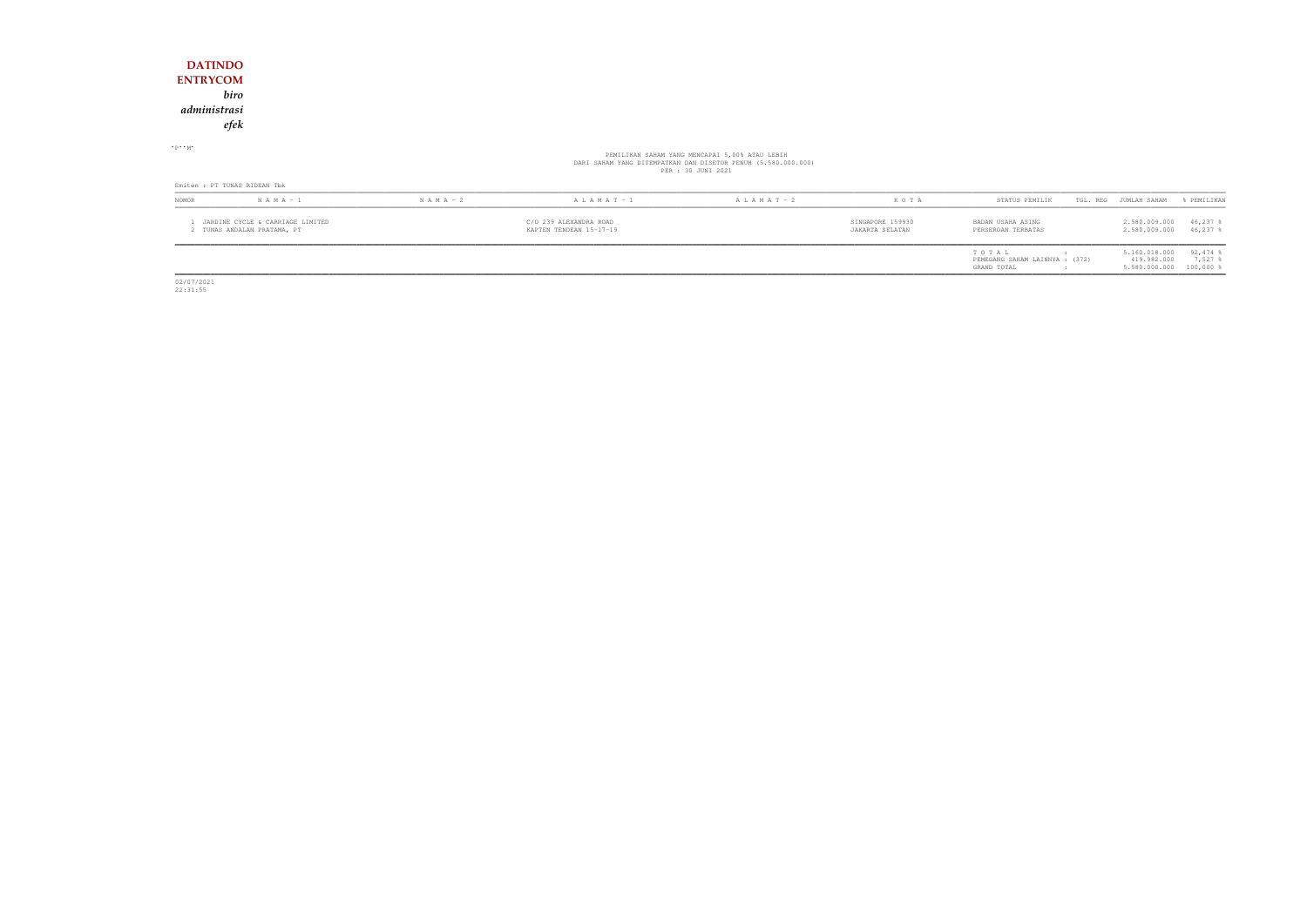1 JARDINE CYCLE & CARRIAGE LIMITED C/O 239 ALEXANDRA ROAD SINGAPORE 159930 BADAN USAHA ASING 2.580.009.000 46,237 % 2 TUNAS ANDALAN PRATAMA, PT KAPTEN TENDEAN 15-17-19 JAKARTA SELATAN PERSEROAN TERBATAS 2.580.009.000 46,237 %

| STATUS PEMILIK                 | TGL. REG | JUMLAH SAHAM  | % PEMILIKAN           |
|--------------------------------|----------|---------------|-----------------------|
| BADAN USAHA ASING              |          | 2.580.009.000 | $46,237$ &            |
| PERSEROAN TERBATAS             |          | 2.580.009.000 | $46.237$ \$           |
| TO TAL                         |          | 5.160.018.000 | $92,474$ $\$$         |
| PEMEGANG SAHAM LAINNYA : (372) |          | 419.982.000   | $7.527$ $\frac{8}{3}$ |
| GRAND TOTAL                    |          | 5.580.000.000 | $100,000$ %           |

02/07/2021 22:31:55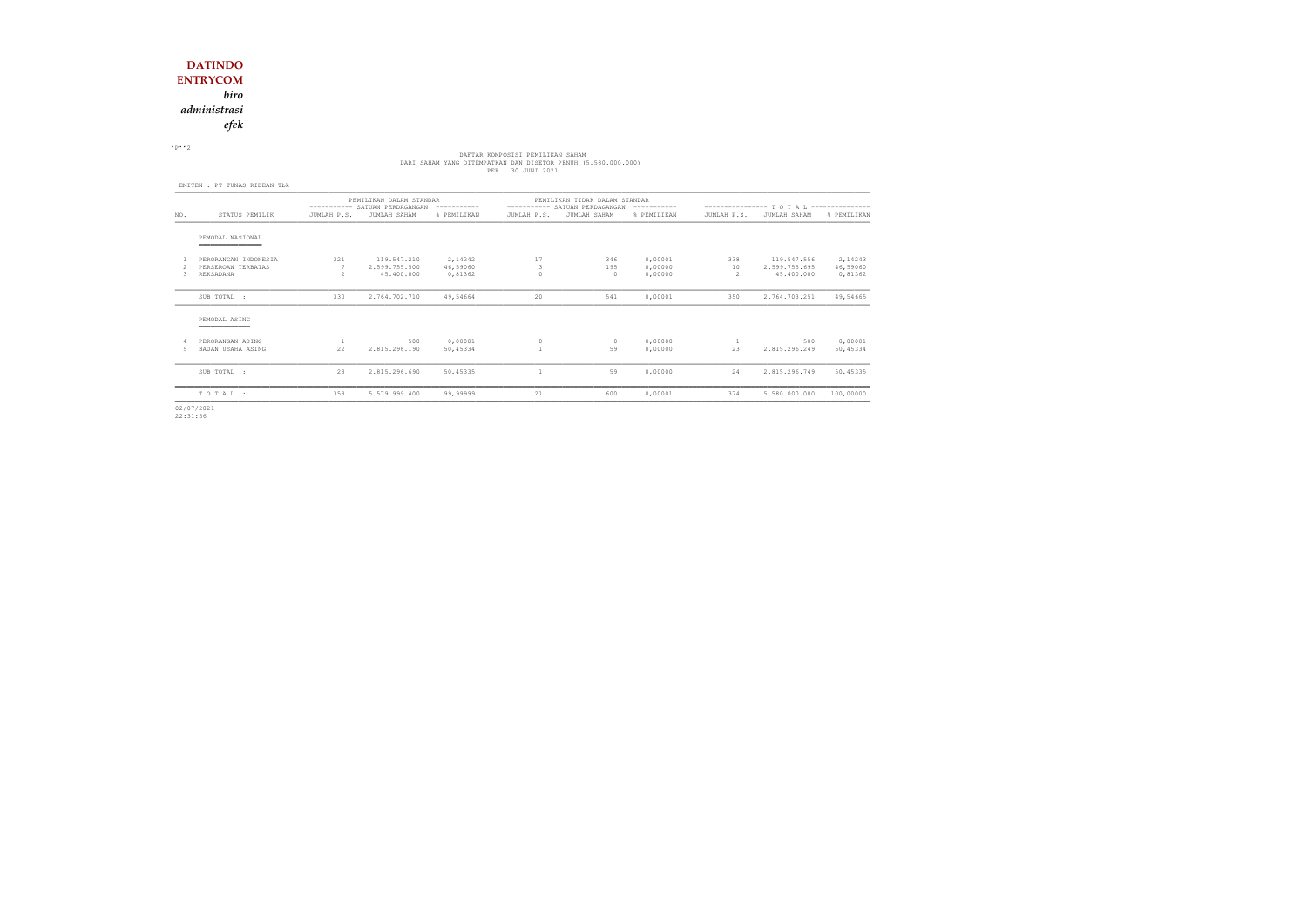*administrasi*

*efek*

 $\cdot$  P $\cdot$  2

# DAFTAR KOMPOSISI PEMILIKAN SAHAM<br>DARI SAHAM YANG DITEMPATKAN DAN DISETOR PENUH (5.580.000.000)<br>PER : 30 JUNI 2021

|                                                         | PEMILIKAN DALAM STANDAR |                                            |                                |                                              | PEMILIKAN TIDAK DALAM STANDAR |                               |                                              |                                            |                                      |  |  |
|---------------------------------------------------------|-------------------------|--------------------------------------------|--------------------------------|----------------------------------------------|-------------------------------|-------------------------------|----------------------------------------------|--------------------------------------------|--------------------------------------|--|--|
| STATUS PEMILIK                                          | JUMLAH P.S.             | JUMLAH SAHAM                               | % PEMILIKAN                    | JUMLAH P.S.                                  | JUMLAH SAHAM                  | % PEMILIKAN                   | JUMLAH P.S.                                  | JUMLAH SAHAM                               | % PEMILIKAN                          |  |  |
| PEMODAL NASIONAL<br>__________                          |                         |                                            |                                |                                              |                               |                               |                                              |                                            |                                      |  |  |
| PERORANGAN INDONESIA<br>PERSEROAN TERBATAS<br>REKSADANA | 321<br>$\mathcal{P}$    | 119.547.210<br>2.599.755.500<br>45.400.000 | 2,14242<br>46,59060<br>0,81362 | 17<br>3<br>$\Omega$                          | 346<br>195<br>$\Omega$        | 0,00001<br>0,00000<br>0.00000 | 338<br>10<br>2                               | 119.547.556<br>2.599.755.695<br>45,400,000 | 2,14243<br>46,59060<br>0,81362       |  |  |
| SUB TOTAL :                                             | 330                     | 2.764.702.710                              | 49,54664                       | 20                                           | 541                           | 0,00001                       | 350                                          | 2.764.703.251                              | 49,54665                             |  |  |
| PEMODAL ASING                                           |                         |                                            |                                |                                              |                               |                               |                                              |                                            |                                      |  |  |
| PERORANGAN ASING<br>BADAN USAHA ASING                   | 22                      | 500<br>2.815.296.190                       | 0,00001<br>50,45334            | $\mathbf{0}$                                 | $\circ$<br>59                 | 0,00000<br>0,00000            | 23                                           | 500<br>2.815.296.249                       | 0,00001<br>50,45334                  |  |  |
| SUB TOTAL :                                             | 23                      | 2.815.296.690                              | 50,45335                       |                                              | 59                            | 0,00000                       | 24                                           | 2.815.296.749                              | 50,45335                             |  |  |
| TOTAL:                                                  | 353                     | 5.579.999.400                              | 99,99999                       | 21                                           | 600                           | 0,00001                       | 374                                          | 5.580.000.000                              | 100,00000                            |  |  |
|                                                         |                         |                                            |                                | ---------- SATUAN PERDAGANGAN<br>----------- |                               |                               | ---------- SATUAN PERDAGANGAN<br>----------- |                                            | --------------- TOTAL--------------- |  |  |

02/07/2021 22:31:56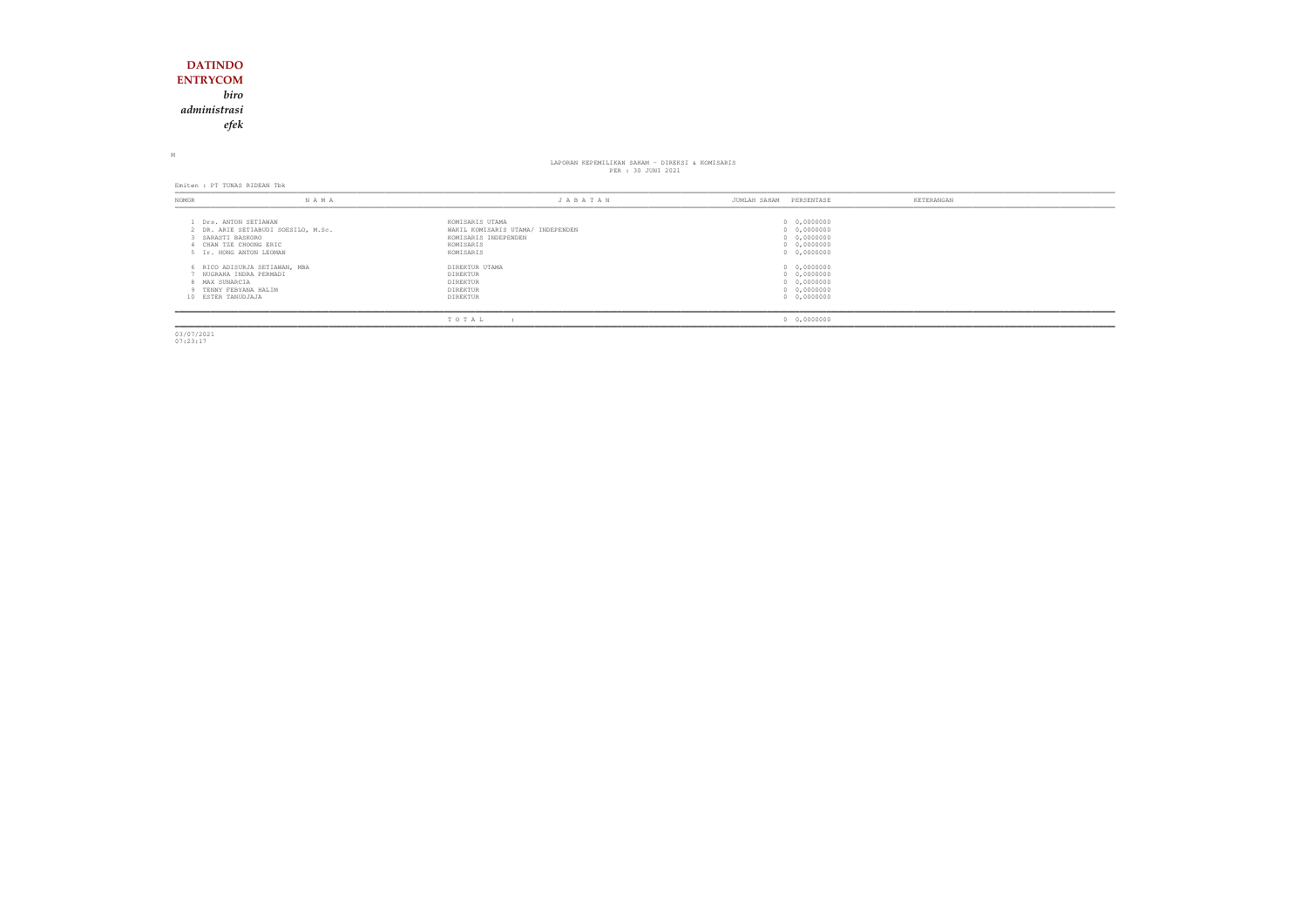### **DATINDO ENTRYCOM** *biro administrasiefek*

M

## LAPORAN KEPEMILIKAN SAHAM - DIREKSI & KOMISARIS<br>PER : 30 JUNI 2021

Emiten : PT TUNAS RIDEAN Tbk

| NOMOR                                | N A M A                                                                                                       | JABATAN                                                                                                | PERSENTASE<br>JUMLAH SAHAM                                              | KETERANGAN |
|--------------------------------------|---------------------------------------------------------------------------------------------------------------|--------------------------------------------------------------------------------------------------------|-------------------------------------------------------------------------|------------|
| SARASTI BASKORO                      | Drs. ANTON SETIAWAN<br>2 DR. ARIE SETIABUDI SOESILO, M.Sc.<br>CHAN TZE CHOONG ERIC<br>5 Ir. HONG ANTON LEOMAN | KOMISARIS UTAMA<br>WAKIL KOMISARIS UTAMA/ INDEPENDEN<br>KOMISARIS INDEPENDEN<br>KOMISARIS<br>KOMISARIS | 0 0,0000000<br>0 0,0000000<br>0 0,0000000<br>0 0,0000000<br>0 0,0000000 |            |
| 8 MAX SUNARCIA<br>10 ESTER TANUDJAJA | 6 RICO ADISURJA SETIAWAN, MBA<br>NUGRAHA INDRA PERMADI<br>9 TENNY FEBYANA HALIM                               | DIREKTUR UTAMA<br>DIREKTUR<br>DIREKTUR<br>DIREKTUR<br>DIREKTUR                                         | 0 0,0000000<br>0 0,0000000<br>0 0,0000000<br>0 0,0000000<br>0 0,0000000 |            |
|                                      |                                                                                                               | TOTAL                                                                                                  | 0 0,0000000                                                             |            |

03/07/2021 07:23:17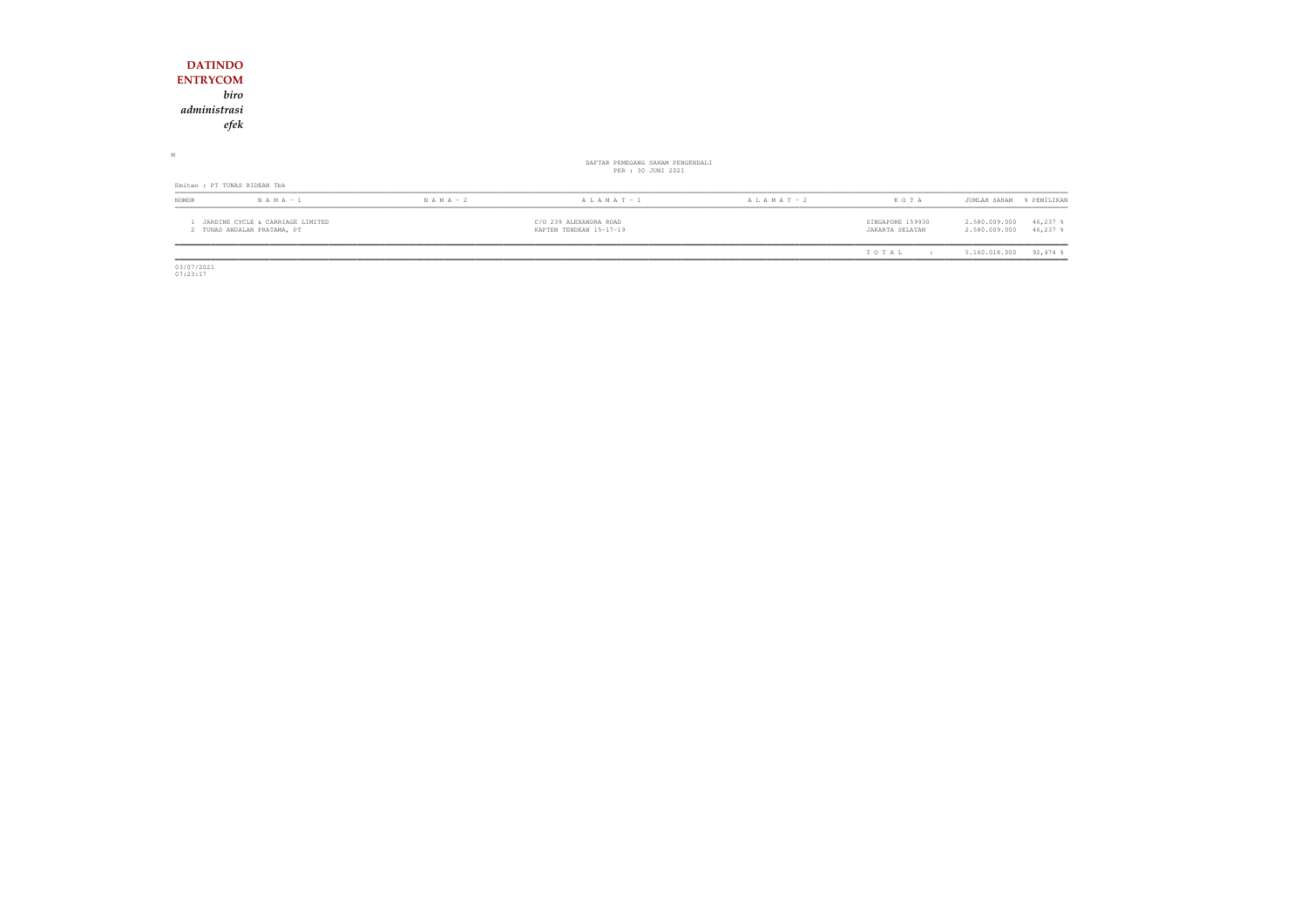| <b>DATINDO</b>                                                  |               |                                                        |                 |                                     |                                                             |
|-----------------------------------------------------------------|---------------|--------------------------------------------------------|-----------------|-------------------------------------|-------------------------------------------------------------|
| <b>ENTRYCOM</b>                                                 |               |                                                        |                 |                                     |                                                             |
| biro                                                            |               |                                                        |                 |                                     |                                                             |
| administrasi                                                    |               |                                                        |                 |                                     |                                                             |
| efek                                                            |               |                                                        |                 |                                     |                                                             |
|                                                                 |               |                                                        |                 |                                     |                                                             |
| $\mathbb M$                                                     |               | DAFTAR PEMEGANG SAHAM PENGENDALI<br>PER : 30 JUNI 2021 |                 |                                     |                                                             |
| Emiten : PT TUNAS RIDEAN Tbk                                    |               |                                                        |                 |                                     |                                                             |
| $N A M A - 1$<br>NOMOR                                          | $N A M A - 2$ | $A L A M A T - 1$                                      | A L A M A T - 2 | KOTA                                | JUMLAH SAHAM<br>% PEMILIKAN                                 |
| JARDINE CYCLE & CARRIAGE LIMITED<br>2 TUNAS ANDALAN PRATAMA, PT |               | C/O 239 ALEXANDRA ROAD<br>KAPTEN TENDEAN 15-17-19      |                 | SINGAPORE 159930<br>JAKARTA SELATAN | 2.580.009.000<br>$46,237$ %<br>2.580.009.000<br>$46,237$ \$ |
|                                                                 |               |                                                        |                 | TOTAL<br>$\cdot$ :                  | $92,474$ %<br>5.160.018.000                                 |

 $\begin{array}{c} \hline \hline 03/07/2021 \\ 07:23:17 \end{array}$